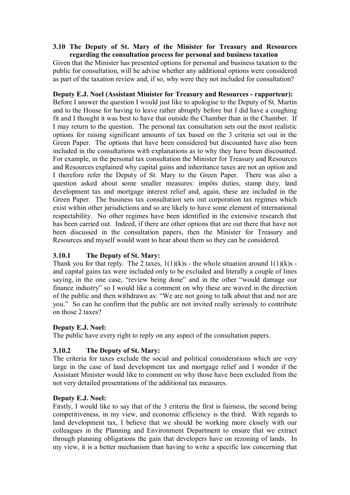#### **3.10 The Deputy of St. Mary of the Minister for Treasury and Resources regarding the consultation process for personal and business taxation**

Given that the Minister has presented options for personal and business taxation to the public for consultation, will he advise whether any additional options were considered as part of the taxation review and, if so, why were they not included for consultation?

#### **Deputy E.J. Noel (Assistant Minister for Treasury and Resources - rapporteur):**

Before I answer the question I would just like to apologise to the Deputy of St. Martin and to the House for having to leave rather abruptly before but I did have a coughing fit and I thought it was best to have that outside the Chamber than in the Chamber. If I may return to the question. The personal tax consultation sets out the most realistic options for raising significant amounts of tax based on the 3 criteria set out in the Green Paper. The options that have been considered but discounted have also been included in the consultations with explanations as to why they have been discounted. For example, in the personal tax consultation the Minister for Treasury and Resources and Resources explained why capital gains and inheritance taxes are not an option and I therefore refer the Deputy of St. Mary to the Green Paper. There was also a question asked about some smaller measures: impôts duties, stamp duty, land development tax and mortgage interest relief and, again, these are included in the Green Paper. The business tax consultation sets out corporation tax regimes which exist within other jurisdictions and so are likely to have some element of international respectability. No other regimes have been identified in the extensive research that has been carried out. Indeed, if there are other options that are out there that have not been discussed in the consultation papers, then the Minister for Treasury and Resources and myself would want to hear about them so they can be considered.

## **3.10.1 The Deputy of St. Mary:**

Thank you for that reply. The 2 taxes,  $1(1)(k)s$  - the whole situation around  $1(1)(k)s$  and capital gains tax were included only to be excluded and literally a couple of lines saying, in the one case, "review being done" and in the other "would damage our finance industry" so I would like a comment on why these are waved in the direction of the public and then withdrawn as: "We are not going to talk about that and nor are you." So can he confirm that the public are not invited really seriously to contribute on those 2 taxes?

## **Deputy E.J. Noel:**

The public have every right to reply on any aspect of the consultation papers.

## **3.10.2 The Deputy of St. Mary:**

The criteria for taxes exclude the social and political considerations which are very large in the case of land development tax and mortgage relief and I wonder if the Assistant Minister would like to comment on why those have been excluded from the not very detailed presentations of the additional tax measures.

## **Deputy E.J. Noel:**

Firstly, I would like to say that of the 3 criteria the first is fairness, the second being competitiveness, in my view, and economic efficiency is the third. With regards to land development tax, I believe that we should be working more closely with our colleagues in the Planning and Environment Department to ensure that we extract through planning obligations the gain that developers have on rezoning of lands. In my view, it is a better mechanism than having to write a specific law concerning that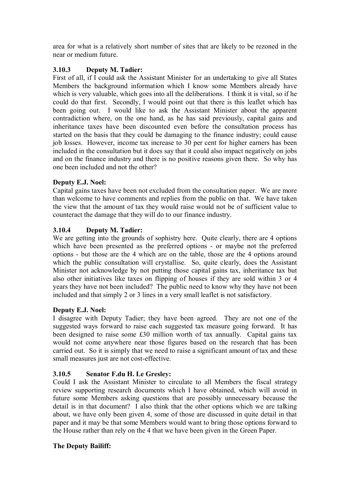area for what is a relatively short number of sites that are likely to be rezoned in the near or medium future.

# **3.10.3 Deputy M. Tadier:**

First of all, if I could ask the Assistant Minister for an undertaking to give all States Members the background information which I know some Members already have which is very valuable, which goes into all the deliberations. I think it is vital, so if he could do that first. Secondly, I would point out that there is this leaflet which has been going out. I would like to ask the Assistant Minister about the apparent contradiction where, on the one hand, as he has said previously, capital gains and inheritance taxes have been discounted even before the consultation process has started on the basis that they could be damaging to the finance industry; could cause job losses. However, income tax increase to 30 per cent for higher earners has been included in the consultation but it does say that it could also impact negatively on jobs and on the finance industry and there is no positive reasons given there. So why has one been included and not the other?

# **Deputy E.J. Noel:**

Capital gains taxes have been not excluded from the consultation paper. We are more than welcome to have comments and replies from the public on that. We have taken the view that the amount of tax they would raise would not be of sufficient value to counteract the damage that they will do to our finance industry.

# **3.10.4 Deputy M. Tadier:**

We are getting into the grounds of sophistry here. Quite clearly, there are 4 options which have been presented as the preferred options - or maybe not the preferred options - but those are the 4 which are on the table, those are the 4 options around which the public consultation will crystallise. So, quite clearly, does the Assistant Minister not acknowledge by not putting those capital gains tax, inheritance tax but also other initiatives like taxes on flipping of houses if they are sold within 3 or 4 years they have not been included? The public need to know why they have not been included and that simply 2 or 3 lines in a very small leaflet is not satisfactory.

## **Deputy E.J. Noel:**

I disagree with Deputy Tadier; they have been agreed. They are not one of the suggested ways forward to raise each suggested tax measure going forward. It has been designed to raise some £30 million worth of tax annually. Capital gains tax would not come anywhere near those figures based on the research that has been carried out. So it is simply that we need to raise a significant amount of tax and these small measures just are not cost-effective.

## **3.10.5 Senator F.du H. Le Gresley:**

Could I ask the Assistant Minister to circulate to all Members the fiscal strategy review supporting research documents which I have obtained, which will avoid in future some Members asking questions that are possibly unnecessary because the detail is in that document? I also think that the other options which we are talking about, we have only been given 4, some of those are discussed in quite detail in that paper and it may be that some Members would want to bring those options forward to the House rather than rely on the 4 that we have been given in the Green Paper.

## **The Deputy Bailiff:**